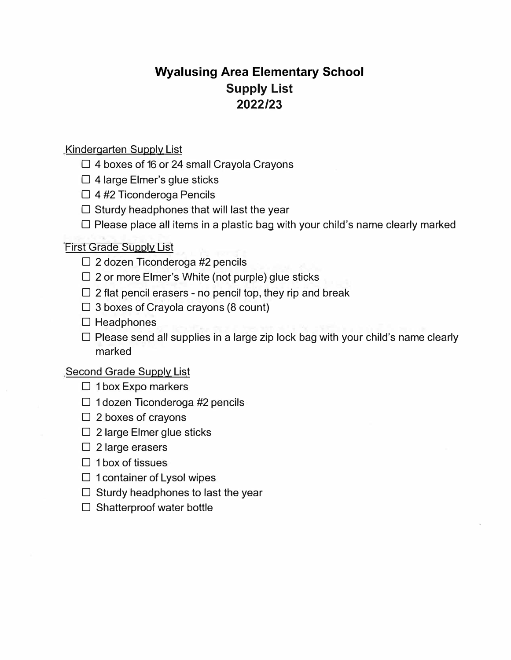# **Wyalusing Area Elementary School Supply List 2022/23**

## Kindergarten Supply List

- **□** 4 boxes of 16 or 24 small Crayola Crayons
- **□** 4 large Elmer's glue sticks
- **□** 4 #2 Ticonderoga Pencils
- **□** Sturdy headphones that will last the year
- **□** Please place all items in a plastic bag with your child's name clearly marked

## First Grade Supply List

- **□** 2 dozen Ticonderoga #2 pencils
- **□** 2 or more Elmer's White (not purple) glue sticks
- **□** 2 flat pencil erasers no pencil top, they rip and break
- **□** 3 boxes of Crayola crayons (8 count)
- **□** Headphones
- **□** Please send all supplies in a large zip lock bag with your child's name clearly marked

### Second Grade Supply List

- □ 1 box Expo markers
- **□** 1 dozen Ticonderoga #2 pencils
- **□** 2 boxes of crayons
- **□** 2 large Elmer glue sticks
- **□** 2 large erasers
- **□** 1 box of tissues
- **□** 1 container of Lysol wipes
- **□** Sturdy headphones to last the year
- **□** Shatterproof water bottle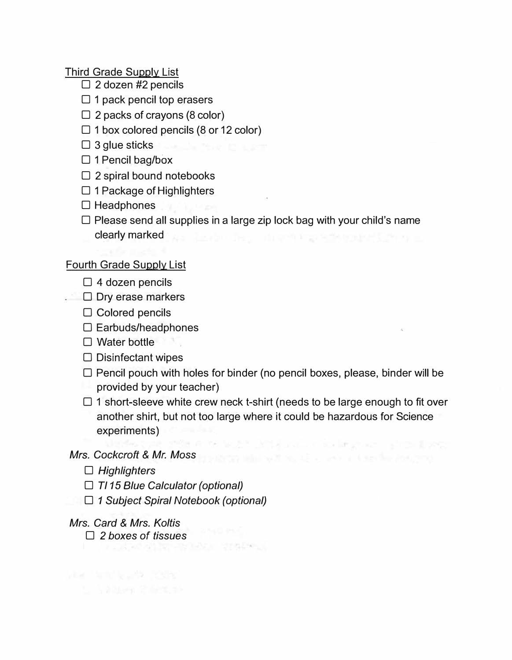Third Grade Supply List

- **□** 2 dozen #2 pencils
- **□** 1 pack pencil top erasers
- **□** 2 packs of crayons (8 color)
- **□** 1 box colored pencils (8 or 12 color)
- **□** 3 glue sticks
- □ 3 glue sticks<br>□ 1 Pencil bag/box
- **□** 2 spiral bound notebooks
- **□** 1 Package of Highlighters
- **□** Headphones
- **□** Please send all supplies in a large zip lock bag with your child's name
	- clearly marked the state of the state of the state of the state of the state of the state of the state of the

### Fourth Grade Supply List

- **□** 4 dozen pencils
- □ Dry erase markers
	- **□** Colored pencils
	- **□** Earbuds/headphones
	- □ Water bottle
	- **□** Disinfectant wipes
	- **□** Pencil pouch with holes for binder (no pencil boxes, please, binder will be provided by your teacher)
	- **□** 1 short-sleeve white crew neck t-shirt (needs to be large enough to fit over another shirt, but not too large where it could be hazardous for Science experiments)

the but think your to import that there

### *Mrs. Cockcroft* & *Mr. Moss*

- **□** *Highlighters*
- **□** *Tl 15 Blue Calculator (optional)*
- **□** *1 Subject Spiral Notebook (optional)*

### *Mrs. Card* & *Mrs. Ko/tis*

and the state to the

**□** *2 boxes of tissues*